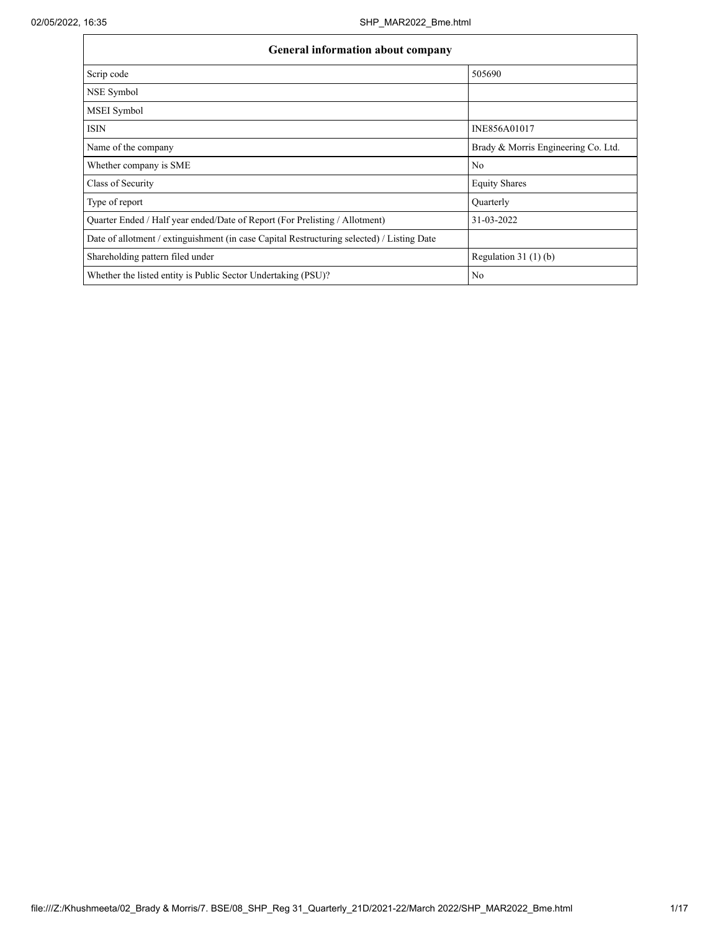| <b>General information about company</b>                                                   |                                     |  |  |  |  |  |  |  |
|--------------------------------------------------------------------------------------------|-------------------------------------|--|--|--|--|--|--|--|
| Scrip code                                                                                 | 505690                              |  |  |  |  |  |  |  |
| NSE Symbol                                                                                 |                                     |  |  |  |  |  |  |  |
| <b>MSEI</b> Symbol                                                                         |                                     |  |  |  |  |  |  |  |
| <b>ISIN</b>                                                                                | INE856A01017                        |  |  |  |  |  |  |  |
| Name of the company                                                                        | Brady & Morris Engineering Co. Ltd. |  |  |  |  |  |  |  |
| Whether company is SME                                                                     | N <sub>0</sub>                      |  |  |  |  |  |  |  |
| Class of Security                                                                          | <b>Equity Shares</b>                |  |  |  |  |  |  |  |
| Type of report                                                                             | Quarterly                           |  |  |  |  |  |  |  |
| Quarter Ended / Half year ended/Date of Report (For Prelisting / Allotment)                | 31-03-2022                          |  |  |  |  |  |  |  |
| Date of allotment / extinguishment (in case Capital Restructuring selected) / Listing Date |                                     |  |  |  |  |  |  |  |
| Shareholding pattern filed under                                                           | Regulation 31 $(1)(b)$              |  |  |  |  |  |  |  |
| Whether the listed entity is Public Sector Undertaking (PSU)?                              | N <sub>0</sub>                      |  |  |  |  |  |  |  |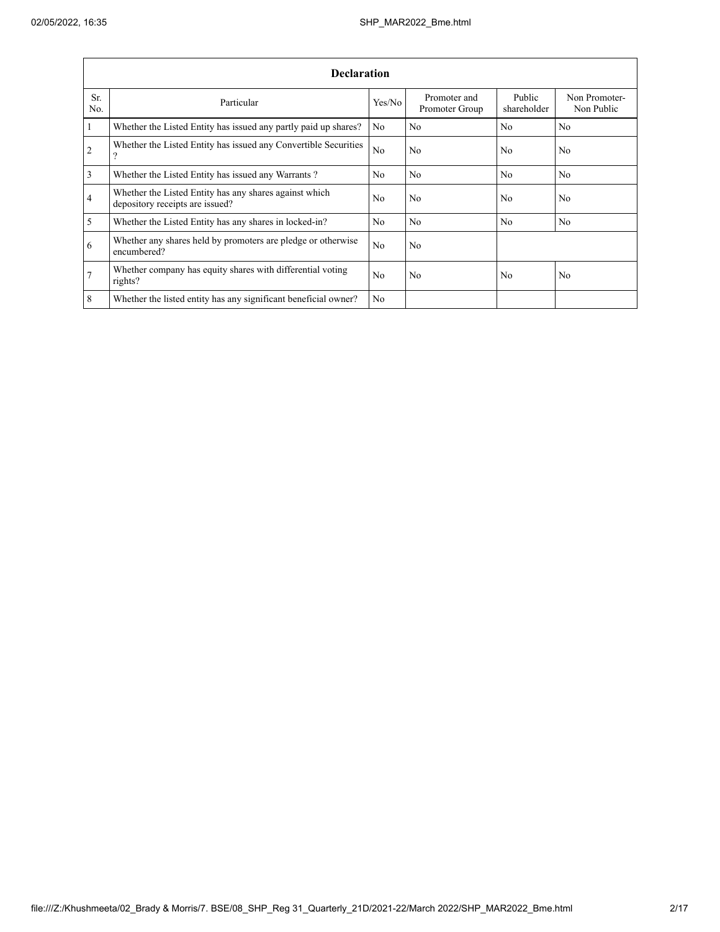|                 | <b>Declaration</b>                                                                        |                |                                |                       |                             |  |  |  |  |  |  |
|-----------------|-------------------------------------------------------------------------------------------|----------------|--------------------------------|-----------------------|-----------------------------|--|--|--|--|--|--|
| Sr.<br>No.      | Particular                                                                                | Yes/No         | Promoter and<br>Promoter Group | Public<br>shareholder | Non Promoter-<br>Non Public |  |  |  |  |  |  |
| $\mathbf{1}$    | Whether the Listed Entity has issued any partly paid up shares?                           | N <sub>0</sub> | N <sub>0</sub>                 | N <sub>0</sub>        | N <sub>0</sub>              |  |  |  |  |  |  |
| $\overline{2}$  | Whether the Listed Entity has issued any Convertible Securities<br>$\Omega$               | N <sub>0</sub> | N <sub>0</sub>                 | N <sub>0</sub>        | N <sub>0</sub>              |  |  |  |  |  |  |
| 3               | Whether the Listed Entity has issued any Warrants?                                        | N <sub>0</sub> | N <sub>0</sub>                 | N <sub>0</sub>        | N <sub>0</sub>              |  |  |  |  |  |  |
| 4               | Whether the Listed Entity has any shares against which<br>depository receipts are issued? | N <sub>0</sub> | N <sub>0</sub>                 | N <sub>0</sub>        | No.                         |  |  |  |  |  |  |
| 5               | Whether the Listed Entity has any shares in locked-in?                                    | N <sub>0</sub> | N <sub>0</sub>                 | N <sub>0</sub>        | No                          |  |  |  |  |  |  |
| 6               | Whether any shares held by promoters are pledge or otherwise<br>encumbered?               | N <sub>0</sub> | N <sub>0</sub>                 |                       |                             |  |  |  |  |  |  |
| $7\phantom{.0}$ | Whether company has equity shares with differential voting<br>rights?                     | N <sub>0</sub> | N <sub>0</sub>                 | N <sub>0</sub>        | N <sub>0</sub>              |  |  |  |  |  |  |
| 8               | Whether the listed entity has any significant beneficial owner?                           | N <sub>0</sub> |                                |                       |                             |  |  |  |  |  |  |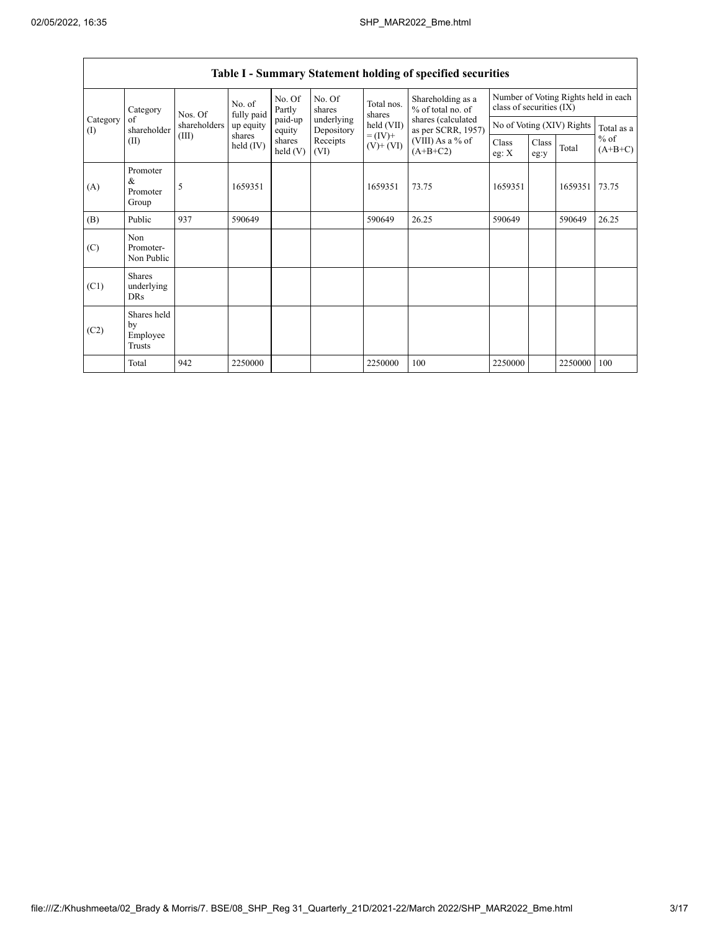| Category<br>(I) | Category                                  | Nos. Of<br>shareholders | No. of<br>fully paid | No. Of<br>Partly     | No. Of<br>shares         | Total nos.<br>shares         | Shareholding as a<br>% of total no. of   | Number of Voting Rights held in each<br>class of securities (IX) |               |            |                     |
|-----------------|-------------------------------------------|-------------------------|----------------------|----------------------|--------------------------|------------------------------|------------------------------------------|------------------------------------------------------------------|---------------|------------|---------------------|
|                 | of<br>shareholder                         |                         | up equity            | paid-up<br>equity    | underlying<br>Depository | held (VII)                   | shares (calculated<br>as per SCRR, 1957) | No of Voting (XIV) Rights                                        |               | Total as a |                     |
|                 | (II)                                      | (III)                   | shares<br>held (IV)  | shares<br>held $(V)$ | Receipts<br>(VI)         | $= (IV) +$<br>$(V)$ + $(VI)$ | (VIII) As a $%$ of<br>$(A+B+C2)$         | Class<br>eg: $X$                                                 | Class<br>eg:y | Total      | $%$ of<br>$(A+B+C)$ |
| (A)             | Promoter<br>&<br>Promoter<br>Group        | 5                       | 1659351              |                      |                          | 1659351                      | 73.75                                    | 1659351                                                          |               | 1659351    | 73.75               |
| (B)             | Public                                    | 937                     | 590649               |                      |                          | 590649                       | 26.25                                    | 590649                                                           |               | 590649     | 26.25               |
| (C)             | Non<br>Promoter-<br>Non Public            |                         |                      |                      |                          |                              |                                          |                                                                  |               |            |                     |
| (C1)            | <b>Shares</b><br>underlying<br><b>DRs</b> |                         |                      |                      |                          |                              |                                          |                                                                  |               |            |                     |
| (C2)            | Shares held<br>by<br>Employee<br>Trusts   |                         |                      |                      |                          |                              |                                          |                                                                  |               |            |                     |
|                 | Total                                     | 942                     | 2250000              |                      |                          | 2250000                      | 100                                      | 2250000                                                          |               | 2250000    | 100                 |

# Table I - Summary Statement holding of specified securities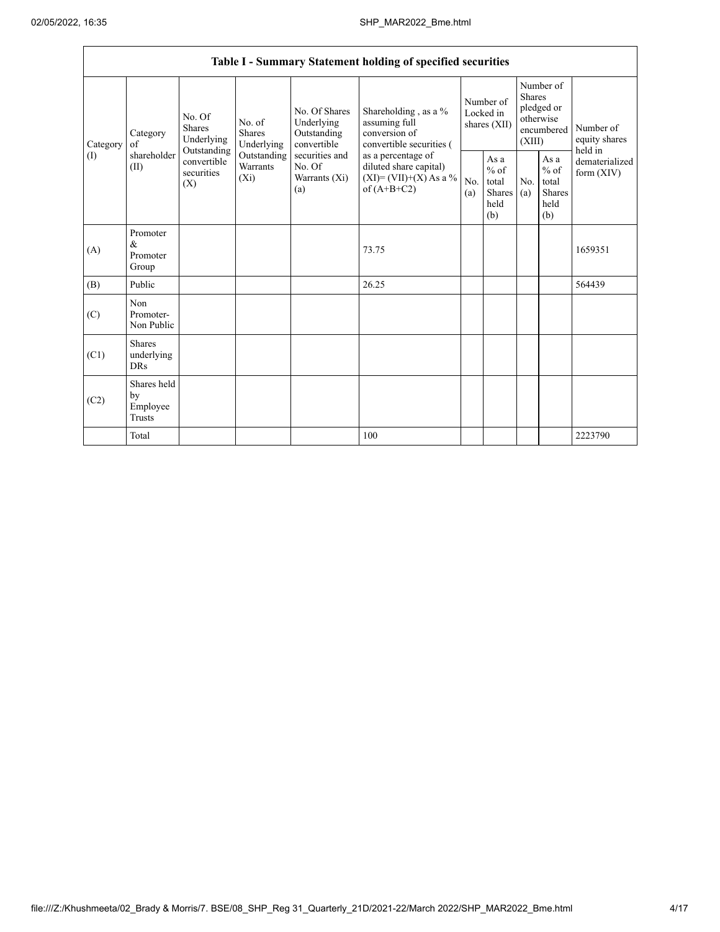$\mathsf{r}$ 

|                 |                                         |                                                                                                                                            |             |                                                                                                               | Table I - Summary Statement holding of specified securities                                                                                                                    |                                        |                                                         |                                                                               |                                                         |                                       |
|-----------------|-----------------------------------------|--------------------------------------------------------------------------------------------------------------------------------------------|-------------|---------------------------------------------------------------------------------------------------------------|--------------------------------------------------------------------------------------------------------------------------------------------------------------------------------|----------------------------------------|---------------------------------------------------------|-------------------------------------------------------------------------------|---------------------------------------------------------|---------------------------------------|
| Category<br>(I) | Category<br>of<br>shareholder<br>(II)   | No. Of<br>No. of<br><b>Shares</b><br><b>Shares</b><br>Underlying<br>Outstanding<br>convertible<br>Warrants<br>securities<br>$(X_i)$<br>(X) | Underlying  | No. Of Shares<br>Underlying<br>Outstanding<br>convertible<br>securities and<br>No. Of<br>Warrants (Xi)<br>(a) | Shareholding, as a %<br>assuming full<br>conversion of<br>convertible securities (<br>as a percentage of<br>diluted share capital)<br>$(XI)=(VII)+(X) As a %$<br>of $(A+B+C2)$ | Number of<br>Locked in<br>shares (XII) |                                                         | Number of<br><b>Shares</b><br>pledged or<br>otherwise<br>encumbered<br>(XIII) |                                                         | Number of<br>equity shares<br>held in |
|                 |                                         |                                                                                                                                            | Outstanding |                                                                                                               |                                                                                                                                                                                | No.<br>(a)                             | As a<br>$%$ of<br>total<br><b>Shares</b><br>held<br>(b) | N <sub>0</sub><br>(a)                                                         | As a<br>$%$ of<br>total<br><b>Shares</b><br>held<br>(b) | dematerialized<br>form $(XIV)$        |
| (A)             | Promoter<br>$\&$<br>Promoter<br>Group   |                                                                                                                                            |             |                                                                                                               | 73.75                                                                                                                                                                          |                                        |                                                         |                                                                               |                                                         | 1659351                               |
| (B)             | Public                                  |                                                                                                                                            |             |                                                                                                               | 26.25                                                                                                                                                                          |                                        |                                                         |                                                                               |                                                         | 564439                                |
| (C)             | Non<br>Promoter-<br>Non Public          |                                                                                                                                            |             |                                                                                                               |                                                                                                                                                                                |                                        |                                                         |                                                                               |                                                         |                                       |
| (C1)            | Shares<br>underlying<br><b>DRs</b>      |                                                                                                                                            |             |                                                                                                               |                                                                                                                                                                                |                                        |                                                         |                                                                               |                                                         |                                       |
| (C2)            | Shares held<br>by<br>Employee<br>Trusts |                                                                                                                                            |             |                                                                                                               |                                                                                                                                                                                |                                        |                                                         |                                                                               |                                                         |                                       |
|                 | Total                                   |                                                                                                                                            |             |                                                                                                               | 100                                                                                                                                                                            |                                        |                                                         |                                                                               |                                                         | 2223790                               |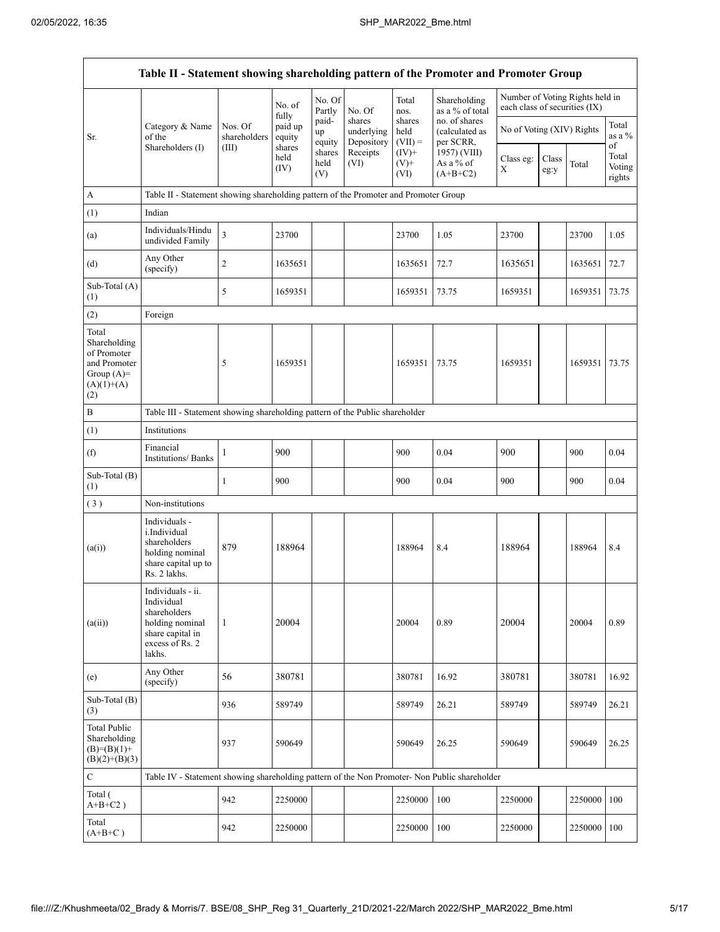| Table II - Statement showing shareholding pattern of the Promoter and Promoter Group        |                                                                                                                     |                         |                        |                       |                                    |                             |                                              |                               |               |                                 |                           |
|---------------------------------------------------------------------------------------------|---------------------------------------------------------------------------------------------------------------------|-------------------------|------------------------|-----------------------|------------------------------------|-----------------------------|----------------------------------------------|-------------------------------|---------------|---------------------------------|---------------------------|
|                                                                                             |                                                                                                                     |                         | No. of<br>fully        | No. Of<br>Partly      | No. Of                             | Total<br>nos.               | Shareholding<br>as a % of total              | each class of securities (IX) |               | Number of Voting Rights held in |                           |
| Sr.                                                                                         | Category & Name<br>of the                                                                                           | Nos. Of<br>shareholders | paid up<br>equity      | paid-<br>up<br>equity | shares<br>underlying<br>Depository | shares<br>held<br>$(VII) =$ | no. of shares<br>(calculated as<br>per SCRR, | No of Voting (XIV) Rights     |               |                                 | Total<br>as a $%$<br>of   |
|                                                                                             | Shareholders (I)                                                                                                    | (III)                   | shares<br>held<br>(IV) | shares<br>held<br>(V) | Receipts<br>(VI)                   | $(IV)$ +<br>$(V)$ +<br>(VI) | 1957) (VIII)<br>As a % of<br>$(A+B+C2)$      | Class eg:<br>X                | Class<br>eg:y | Total                           | Total<br>Voting<br>rights |
| A                                                                                           | Table II - Statement showing shareholding pattern of the Promoter and Promoter Group                                |                         |                        |                       |                                    |                             |                                              |                               |               |                                 |                           |
| (1)                                                                                         | Indian                                                                                                              |                         |                        |                       |                                    |                             |                                              |                               |               |                                 |                           |
| (a)                                                                                         | Individuals/Hindu<br>undivided Family                                                                               | 3                       | 23700                  |                       |                                    | 23700                       | 1.05                                         | 23700                         |               | 23700                           | 1.05                      |
| (d)                                                                                         | Any Other<br>(specify)                                                                                              | 2                       | 1635651                |                       |                                    | 1635651                     | 72.7                                         | 1635651                       |               | 1635651                         | 72.7                      |
| Sub-Total (A)<br>(1)                                                                        |                                                                                                                     | 5                       | 1659351                |                       |                                    | 1659351                     | 73.75                                        | 1659351                       |               | 1659351                         | 73.75                     |
| (2)                                                                                         | Foreign                                                                                                             |                         |                        |                       |                                    |                             |                                              |                               |               |                                 |                           |
| Total<br>Shareholding<br>of Promoter<br>and Promoter<br>Group $(A)=$<br>$(A)(1)+(A)$<br>(2) |                                                                                                                     | 5                       | 1659351                |                       |                                    | 1659351                     | 73.75                                        | 1659351                       |               | 1659351                         | 73.75                     |
| B                                                                                           | Table III - Statement showing shareholding pattern of the Public shareholder                                        |                         |                        |                       |                                    |                             |                                              |                               |               |                                 |                           |
| (1)                                                                                         | Institutions                                                                                                        |                         |                        |                       |                                    |                             |                                              |                               |               |                                 |                           |
| (f)                                                                                         | Financial<br>Institutions/ Banks                                                                                    | 1                       | 900                    |                       |                                    | 900                         | 0.04                                         | 900                           |               | 900                             | 0.04                      |
| Sub-Total (B)<br>(1)                                                                        |                                                                                                                     | 1                       | 900                    |                       |                                    | 900                         | 0.04                                         | 900                           |               | 900                             | 0.04                      |
| (3)                                                                                         | Non-institutions                                                                                                    |                         |                        |                       |                                    |                             |                                              |                               |               |                                 |                           |
| (a(i))                                                                                      | Individuals -<br>i.Individual<br>shareholders<br>holding nominal<br>share capital up to<br>Rs. 2 lakhs.             | 879                     | 188964                 |                       |                                    | 188964                      | 8.4                                          | 188964                        |               | 188964                          | 8.4                       |
| (a(ii))                                                                                     | Individuals - ii.<br>Individual<br>shareholders<br>holding nominal<br>share capital in<br>excess of Rs. 2<br>lakhs. | 1                       | 20004                  |                       |                                    | 20004                       | 0.89                                         | 20004                         |               | 20004                           | 0.89                      |
| (e)                                                                                         | Any Other<br>(specify)                                                                                              | 56                      | 380781                 |                       |                                    | 380781                      | 16.92                                        | 380781                        |               | 380781                          | 16.92                     |
| Sub-Total (B)<br>(3)                                                                        |                                                                                                                     | 936                     | 589749                 |                       |                                    | 589749                      | 26.21                                        | 589749                        |               | 589749                          | 26.21                     |
| <b>Total Public</b><br>Shareholding<br>$(B)=(B)(1)+$<br>$(B)(2)+(B)(3)$                     |                                                                                                                     | 937                     | 590649                 |                       |                                    | 590649                      | 26.25                                        | 590649                        |               | 590649                          | 26.25                     |
| $\mathbf C$                                                                                 | Table IV - Statement showing shareholding pattern of the Non Promoter- Non Public shareholder                       |                         |                        |                       |                                    |                             |                                              |                               |               |                                 |                           |
| Total (<br>$A+B+C2$ )                                                                       |                                                                                                                     | 942                     | 2250000                |                       |                                    | 2250000                     | 100                                          | 2250000                       |               | 2250000                         | 100                       |
| Total<br>$(A+B+C)$                                                                          |                                                                                                                     | 942                     | 2250000                |                       |                                    | 2250000                     | 100                                          | 2250000                       |               | 2250000                         | 100                       |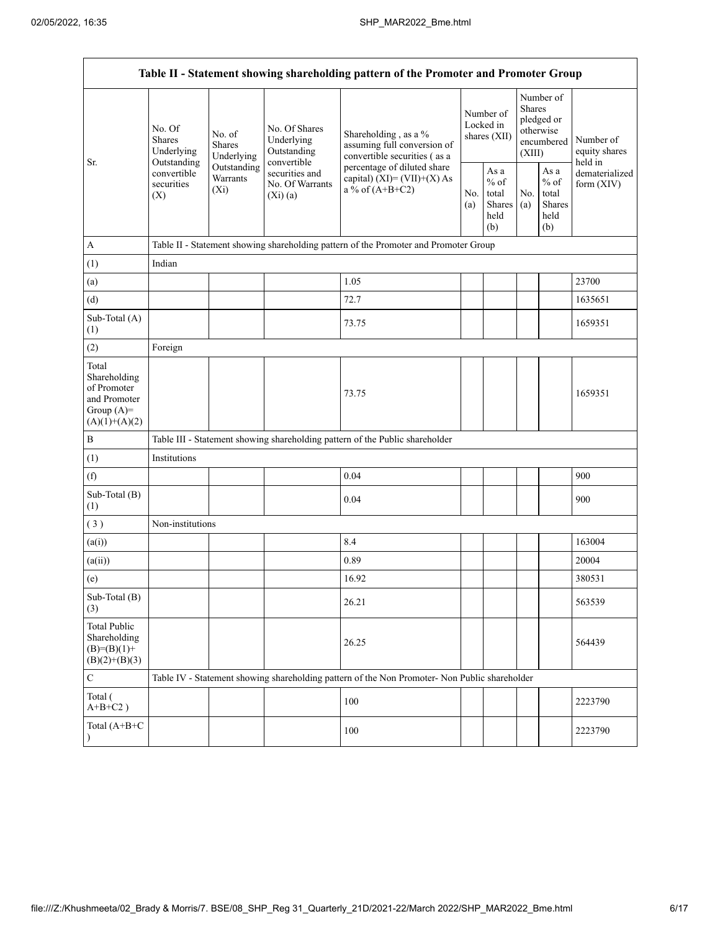| Table II - Statement showing shareholding pattern of the Promoter and Promoter Group    |                                                 |                                       |                                                             |                                                                                                                                                                           |  |                                                         |            |                                                                               |                                       |  |
|-----------------------------------------------------------------------------------------|-------------------------------------------------|---------------------------------------|-------------------------------------------------------------|---------------------------------------------------------------------------------------------------------------------------------------------------------------------------|--|---------------------------------------------------------|------------|-------------------------------------------------------------------------------|---------------------------------------|--|
|                                                                                         | No. Of<br><b>Shares</b><br>Underlying           | No. of<br><b>Shares</b><br>Underlying | No. Of Shares<br>Underlying<br>Outstanding                  | Shareholding, as a %<br>assuming full conversion of<br>convertible securities (as a<br>percentage of diluted share<br>capital) $(XI) = (VII)+(X) As$<br>a % of $(A+B+C2)$ |  | Number of<br>Locked in<br>shares (XII)                  |            | Number of<br><b>Shares</b><br>pledged or<br>otherwise<br>encumbered<br>(XIII) | Number of<br>equity shares<br>held in |  |
| Sr.                                                                                     | Outstanding<br>convertible<br>securities<br>(X) | Outstanding<br>Warrants<br>$(X_i)$    | convertible<br>securities and<br>No. Of Warrants<br>(Xi)(a) |                                                                                                                                                                           |  | As a<br>$%$ of<br>total<br><b>Shares</b><br>held<br>(b) | No.<br>(a) | As a<br>$%$ of<br>total<br>Shares<br>held<br>(b)                              | dematerialized<br>form $(XIV)$        |  |
| $\mathbf{A}$                                                                            |                                                 |                                       |                                                             | Table II - Statement showing shareholding pattern of the Promoter and Promoter Group                                                                                      |  |                                                         |            |                                                                               |                                       |  |
| (1)                                                                                     | Indian                                          |                                       |                                                             |                                                                                                                                                                           |  |                                                         |            |                                                                               |                                       |  |
| (a)                                                                                     |                                                 |                                       |                                                             | 1.05                                                                                                                                                                      |  |                                                         |            |                                                                               | 23700                                 |  |
| (d)                                                                                     |                                                 |                                       |                                                             | 72.7                                                                                                                                                                      |  |                                                         |            |                                                                               | 1635651                               |  |
| Sub-Total (A)<br>(1)                                                                    |                                                 |                                       |                                                             | 73.75                                                                                                                                                                     |  |                                                         |            |                                                                               | 1659351                               |  |
| (2)                                                                                     | Foreign                                         |                                       |                                                             |                                                                                                                                                                           |  |                                                         |            |                                                                               |                                       |  |
| Total<br>Shareholding<br>of Promoter<br>and Promoter<br>Group $(A)=$<br>$(A)(1)+(A)(2)$ |                                                 |                                       |                                                             | 73.75                                                                                                                                                                     |  |                                                         |            |                                                                               | 1659351                               |  |
| $\, {\bf B}$                                                                            |                                                 |                                       |                                                             | Table III - Statement showing shareholding pattern of the Public shareholder                                                                                              |  |                                                         |            |                                                                               |                                       |  |
| (1)                                                                                     | Institutions                                    |                                       |                                                             |                                                                                                                                                                           |  |                                                         |            |                                                                               |                                       |  |
| (f)                                                                                     |                                                 |                                       |                                                             | 0.04                                                                                                                                                                      |  |                                                         |            |                                                                               | 900                                   |  |
| Sub-Total (B)<br>(1)                                                                    |                                                 |                                       |                                                             | 0.04                                                                                                                                                                      |  |                                                         |            |                                                                               | 900                                   |  |
| (3)                                                                                     | Non-institutions                                |                                       |                                                             |                                                                                                                                                                           |  |                                                         |            |                                                                               |                                       |  |
| (a(i))                                                                                  |                                                 |                                       |                                                             | 8.4                                                                                                                                                                       |  |                                                         |            |                                                                               | 163004                                |  |
| (a(ii))                                                                                 |                                                 |                                       |                                                             | 0.89                                                                                                                                                                      |  |                                                         |            |                                                                               | 20004                                 |  |
| (e)                                                                                     |                                                 |                                       |                                                             | 16.92                                                                                                                                                                     |  |                                                         |            |                                                                               | 380531                                |  |
| Sub-Total (B)<br>(3)                                                                    |                                                 |                                       |                                                             | 26.21                                                                                                                                                                     |  |                                                         |            |                                                                               | 563539                                |  |
| <b>Total Public</b><br>Shareholding<br>$(B)= (B)(1) +$<br>$(B)(2)+(B)(3)$               |                                                 |                                       |                                                             | 26.25                                                                                                                                                                     |  |                                                         |            |                                                                               | 564439                                |  |
| $\mathsf C$                                                                             |                                                 |                                       |                                                             | Table IV - Statement showing shareholding pattern of the Non Promoter- Non Public shareholder                                                                             |  |                                                         |            |                                                                               |                                       |  |
| Total (<br>$A+B+C2$ )                                                                   |                                                 |                                       |                                                             | 100                                                                                                                                                                       |  |                                                         |            |                                                                               | 2223790                               |  |
| Total (A+B+C<br>$\lambda$                                                               |                                                 |                                       |                                                             | 100                                                                                                                                                                       |  |                                                         |            |                                                                               | 2223790                               |  |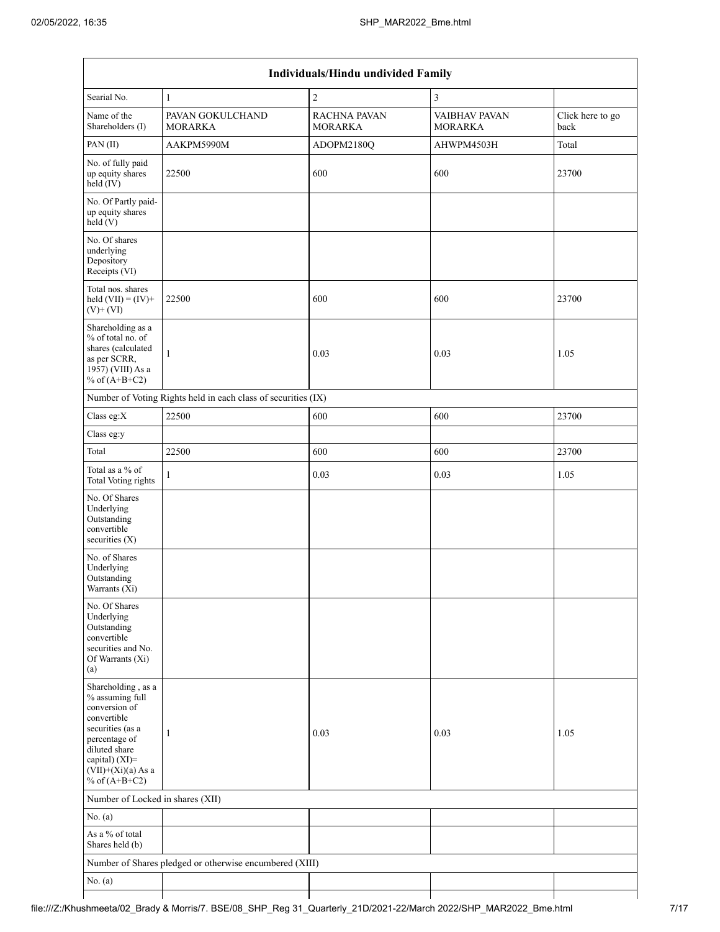| Individuals/Hindu undivided Family                                                                                                                                                          |                                                               |                                       |                                 |                          |  |  |  |  |  |  |
|---------------------------------------------------------------------------------------------------------------------------------------------------------------------------------------------|---------------------------------------------------------------|---------------------------------------|---------------------------------|--------------------------|--|--|--|--|--|--|
| Searial No.                                                                                                                                                                                 | $\mathbf{1}$                                                  | $\overline{c}$                        | 3                               |                          |  |  |  |  |  |  |
| Name of the<br>Shareholders (I)                                                                                                                                                             | PAVAN GOKULCHAND<br><b>MORARKA</b>                            | <b>RACHNA PAVAN</b><br><b>MORARKA</b> | VAIBHAV PAVAN<br><b>MORARKA</b> | Click here to go<br>back |  |  |  |  |  |  |
| PAN (II)                                                                                                                                                                                    | AAKPM5990M                                                    | ADOPM2180Q                            | AHWPM4503H                      | Total                    |  |  |  |  |  |  |
| No. of fully paid<br>up equity shares<br>$held$ (IV)                                                                                                                                        | 22500                                                         | 600                                   | 600                             | 23700                    |  |  |  |  |  |  |
| No. Of Partly paid-<br>up equity shares<br>held(V)                                                                                                                                          |                                                               |                                       |                                 |                          |  |  |  |  |  |  |
| No. Of shares<br>underlying<br>Depository<br>Receipts (VI)                                                                                                                                  |                                                               |                                       |                                 |                          |  |  |  |  |  |  |
| Total nos. shares<br>held $(VII) = (IV) +$<br>$(V)+(VI)$                                                                                                                                    | 22500                                                         | 600                                   | 600                             | 23700                    |  |  |  |  |  |  |
| Shareholding as a<br>% of total no. of<br>shares (calculated<br>as per SCRR,<br>1957) (VIII) As a<br>% of $(A+B+C2)$                                                                        | $\mathbf{1}$                                                  | 0.03                                  | 0.03                            | 1.05                     |  |  |  |  |  |  |
|                                                                                                                                                                                             | Number of Voting Rights held in each class of securities (IX) |                                       |                                 |                          |  |  |  |  |  |  |
| Class eg:X                                                                                                                                                                                  | 22500                                                         | 600                                   | 600                             | 23700                    |  |  |  |  |  |  |
| Class eg:y                                                                                                                                                                                  |                                                               |                                       |                                 |                          |  |  |  |  |  |  |
| Total                                                                                                                                                                                       | 22500                                                         | 600                                   | 600                             | 23700                    |  |  |  |  |  |  |
| Total as a % of<br><b>Total Voting rights</b>                                                                                                                                               | $\mathbf{1}$                                                  | 0.03                                  | 0.03                            | 1.05                     |  |  |  |  |  |  |
| No. Of Shares<br>Underlying<br>Outstanding<br>convertible<br>securities (X)                                                                                                                 |                                                               |                                       |                                 |                          |  |  |  |  |  |  |
| No. of Shares<br>Underlying<br>Outstanding<br>Warrants (Xi)                                                                                                                                 |                                                               |                                       |                                 |                          |  |  |  |  |  |  |
| No. Of Shares<br>Underlying<br>Outstanding<br>convertible<br>securities and No.<br>Of Warrants (Xi)<br>(a)                                                                                  |                                                               |                                       |                                 |                          |  |  |  |  |  |  |
| Shareholding, as a<br>% assuming full<br>conversion of<br>convertible<br>securities (as a<br>percentage of<br>diluted share<br>capital) $(XI)$ =<br>$(VII)+(Xi)(a)$ As a<br>% of $(A+B+C2)$ | 1                                                             | 0.03                                  | 0.03                            | 1.05                     |  |  |  |  |  |  |
| Number of Locked in shares (XII)                                                                                                                                                            |                                                               |                                       |                                 |                          |  |  |  |  |  |  |
| No. $(a)$                                                                                                                                                                                   |                                                               |                                       |                                 |                          |  |  |  |  |  |  |
| As a % of total<br>Shares held (b)                                                                                                                                                          |                                                               |                                       |                                 |                          |  |  |  |  |  |  |
|                                                                                                                                                                                             | Number of Shares pledged or otherwise encumbered (XIII)       |                                       |                                 |                          |  |  |  |  |  |  |
| No. $(a)$                                                                                                                                                                                   |                                                               |                                       |                                 |                          |  |  |  |  |  |  |
|                                                                                                                                                                                             |                                                               |                                       |                                 |                          |  |  |  |  |  |  |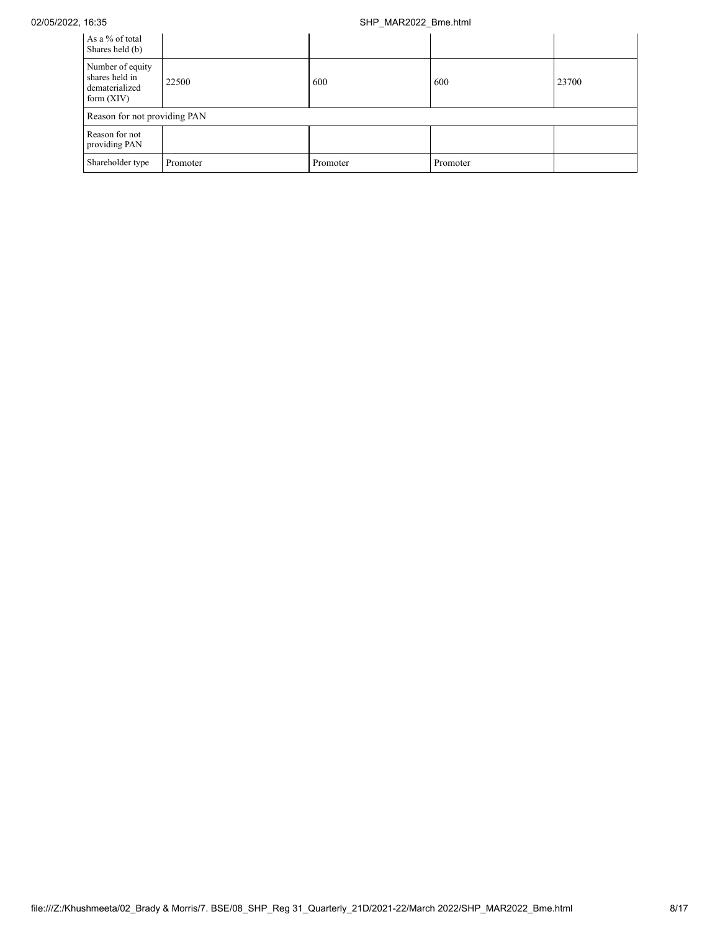## 02/05/2022, 16:35 SHP\_MAR2022\_Bme.html

| As a % of total<br>Shares held (b)                                   |          |          |          |       |
|----------------------------------------------------------------------|----------|----------|----------|-------|
| Number of equity<br>shares held in<br>dematerialized<br>form $(XIV)$ | 22500    | 600      | 600      | 23700 |
| Reason for not providing PAN                                         |          |          |          |       |
| Reason for not<br>providing PAN                                      |          |          |          |       |
| Shareholder type                                                     | Promoter | Promoter | Promoter |       |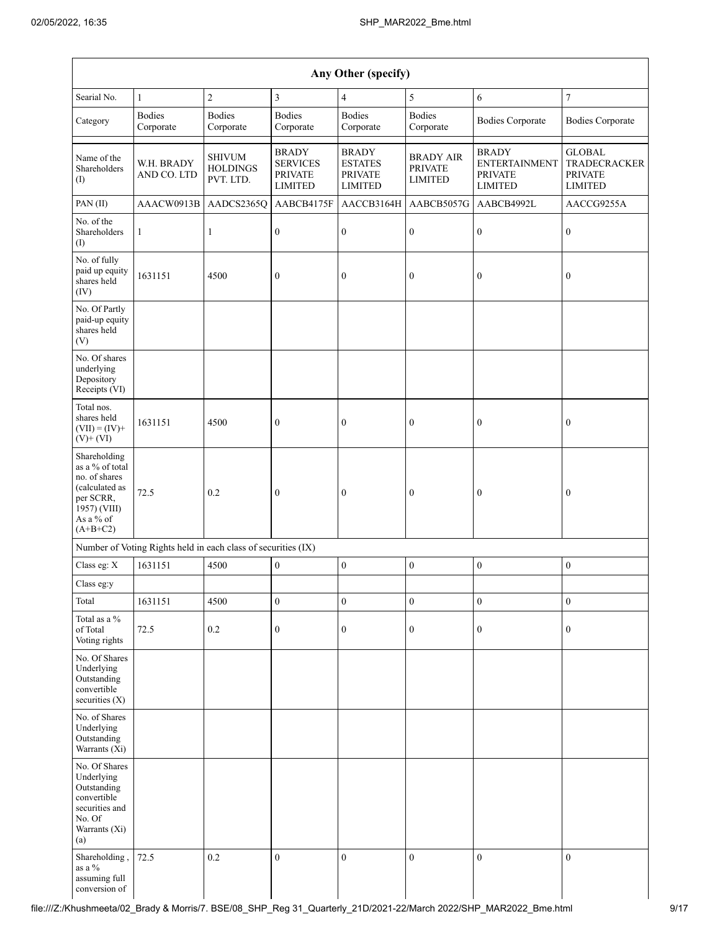| Any Other (specify)                                                                                                        |                                                               |                                               |                                                                     |                                                                    |                                                      |                                                                          |                                                                          |  |  |  |
|----------------------------------------------------------------------------------------------------------------------------|---------------------------------------------------------------|-----------------------------------------------|---------------------------------------------------------------------|--------------------------------------------------------------------|------------------------------------------------------|--------------------------------------------------------------------------|--------------------------------------------------------------------------|--|--|--|
| Searial No.                                                                                                                | $\mathbf{1}$                                                  | $\sqrt{2}$                                    | $\mathfrak{Z}$                                                      | $\overline{4}$                                                     | $\sqrt{5}$                                           | 6                                                                        | $\boldsymbol{7}$                                                         |  |  |  |
| Category                                                                                                                   | <b>Bodies</b><br>Corporate                                    | <b>Bodies</b><br>Corporate                    | <b>Bodies</b><br>Corporate                                          | <b>Bodies</b><br>Corporate                                         | <b>Bodies</b><br>Corporate                           | <b>Bodies Corporate</b>                                                  | <b>Bodies Corporate</b>                                                  |  |  |  |
| Name of the<br>Shareholders<br>(I)                                                                                         | W.H. BRADY<br>AND CO. LTD                                     | <b>SHIVUM</b><br><b>HOLDINGS</b><br>PVT. LTD. | <b>BRADY</b><br><b>SERVICES</b><br><b>PRIVATE</b><br><b>LIMITED</b> | <b>BRADY</b><br><b>ESTATES</b><br><b>PRIVATE</b><br><b>LIMITED</b> | <b>BRADY AIR</b><br><b>PRIVATE</b><br><b>LIMITED</b> | <b>BRADY</b><br><b>ENTERTAINMENT</b><br><b>PRIVATE</b><br><b>LIMITED</b> | <b>GLOBAL</b><br><b>TRADECRACKER</b><br><b>PRIVATE</b><br><b>LIMITED</b> |  |  |  |
| PAN (II)                                                                                                                   | AAACW0913B                                                    | AADCS2365Q                                    | AABCB4175F                                                          | AACCB3164H                                                         | AABCB5057G                                           | AABCB4992L                                                               | AACCG9255A                                                               |  |  |  |
| No. of the<br>Shareholders<br>(1)                                                                                          | $\mathbf{1}$                                                  | $\mathbf{1}$                                  | $\boldsymbol{0}$                                                    | $\boldsymbol{0}$                                                   | $\boldsymbol{0}$                                     | $\boldsymbol{0}$                                                         | $\boldsymbol{0}$                                                         |  |  |  |
| No. of fully<br>paid up equity<br>shares held<br>(IV)                                                                      | 1631151                                                       | 4500                                          | $\boldsymbol{0}$                                                    | $\boldsymbol{0}$                                                   | $\boldsymbol{0}$                                     | $\boldsymbol{0}$                                                         | $\boldsymbol{0}$                                                         |  |  |  |
| No. Of Partly<br>paid-up equity<br>shares held<br>(V)                                                                      |                                                               |                                               |                                                                     |                                                                    |                                                      |                                                                          |                                                                          |  |  |  |
| No. Of shares<br>underlying<br>Depository<br>Receipts (VI)                                                                 |                                                               |                                               |                                                                     |                                                                    |                                                      |                                                                          |                                                                          |  |  |  |
| Total nos.<br>shares held<br>$(VII) = (IV) +$<br>$(V)$ + $(VI)$                                                            | 1631151                                                       | 4500                                          | $\boldsymbol{0}$                                                    | $\boldsymbol{0}$                                                   | $\bf{0}$                                             | $\boldsymbol{0}$                                                         | $\boldsymbol{0}$                                                         |  |  |  |
| Shareholding<br>as a % of total<br>no. of shares<br>(calculated as<br>per SCRR,<br>1957) (VIII)<br>As a % of<br>$(A+B+C2)$ | 72.5                                                          | 0.2                                           | $\boldsymbol{0}$                                                    | $\boldsymbol{0}$                                                   | $\boldsymbol{0}$                                     | $\boldsymbol{0}$                                                         | $\bf{0}$                                                                 |  |  |  |
|                                                                                                                            | Number of Voting Rights held in each class of securities (IX) |                                               |                                                                     |                                                                    |                                                      |                                                                          |                                                                          |  |  |  |
| Class eg: X                                                                                                                | 1631151                                                       | 4500                                          | $\boldsymbol{0}$                                                    | $\boldsymbol{0}$                                                   | $\boldsymbol{0}$                                     | $\boldsymbol{0}$                                                         | $\boldsymbol{0}$                                                         |  |  |  |
| Class eg:y                                                                                                                 |                                                               |                                               |                                                                     |                                                                    |                                                      |                                                                          |                                                                          |  |  |  |
| Total                                                                                                                      | 1631151                                                       | 4500                                          | $\boldsymbol{0}$                                                    | $\boldsymbol{0}$                                                   | $\boldsymbol{0}$                                     | $\boldsymbol{0}$                                                         | $\boldsymbol{0}$                                                         |  |  |  |
| Total as a %<br>of Total<br>Voting rights                                                                                  | 72.5                                                          | $0.2\,$                                       | $\boldsymbol{0}$                                                    | $\boldsymbol{0}$                                                   | $\boldsymbol{0}$                                     | $\boldsymbol{0}$                                                         | $\boldsymbol{0}$                                                         |  |  |  |
| No. Of Shares<br>Underlying<br>Outstanding<br>convertible<br>securities $(X)$                                              |                                                               |                                               |                                                                     |                                                                    |                                                      |                                                                          |                                                                          |  |  |  |
| No. of Shares<br>Underlying<br>Outstanding<br>Warrants (Xi)                                                                |                                                               |                                               |                                                                     |                                                                    |                                                      |                                                                          |                                                                          |  |  |  |
| No. Of Shares<br>Underlying<br>Outstanding<br>convertible<br>securities and<br>No. Of<br>Warrants (Xi)<br>(a)              |                                                               |                                               |                                                                     |                                                                    |                                                      |                                                                          |                                                                          |  |  |  |
| Shareholding,<br>as a $\%$<br>assuming full<br>conversion of                                                               | 72.5                                                          | 0.2                                           | $\overline{0}$                                                      | $\boldsymbol{0}$                                                   | $\boldsymbol{0}$                                     | $\mathbf{0}$                                                             | $\mathbf{0}$                                                             |  |  |  |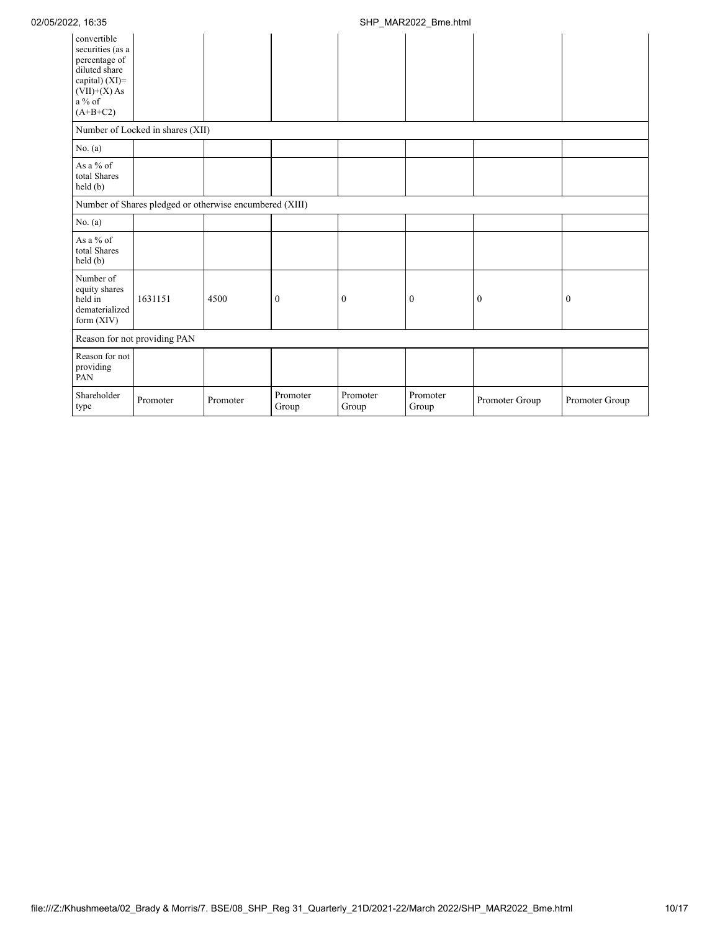| convertible<br>securities (as a<br>percentage of<br>diluted share<br>capital) (XI)=<br>$(VII)+(X)$ As<br>$a\%$ of<br>$(A+B+C2)$ |                                                         |          |                   |                   |                   |                |                  |
|---------------------------------------------------------------------------------------------------------------------------------|---------------------------------------------------------|----------|-------------------|-------------------|-------------------|----------------|------------------|
|                                                                                                                                 | Number of Locked in shares (XII)                        |          |                   |                   |                   |                |                  |
| No. $(a)$                                                                                                                       |                                                         |          |                   |                   |                   |                |                  |
| As a % of<br>total Shares<br>held (b)                                                                                           |                                                         |          |                   |                   |                   |                |                  |
|                                                                                                                                 | Number of Shares pledged or otherwise encumbered (XIII) |          |                   |                   |                   |                |                  |
| No. $(a)$                                                                                                                       |                                                         |          |                   |                   |                   |                |                  |
| As a % of<br>total Shares<br>held(b)                                                                                            |                                                         |          |                   |                   |                   |                |                  |
| Number of<br>equity shares<br>held in<br>dematerialized<br>form $(XIV)$                                                         | 1631151                                                 | 4500     | $\bf{0}$          | $\mathbf{0}$      | $\boldsymbol{0}$  | $\mathbf{0}$   | $\boldsymbol{0}$ |
|                                                                                                                                 | Reason for not providing PAN                            |          |                   |                   |                   |                |                  |
| Reason for not<br>providing<br>PAN                                                                                              |                                                         |          |                   |                   |                   |                |                  |
| Shareholder<br>type                                                                                                             | Promoter                                                | Promoter | Promoter<br>Group | Promoter<br>Group | Promoter<br>Group | Promoter Group | Promoter Group   |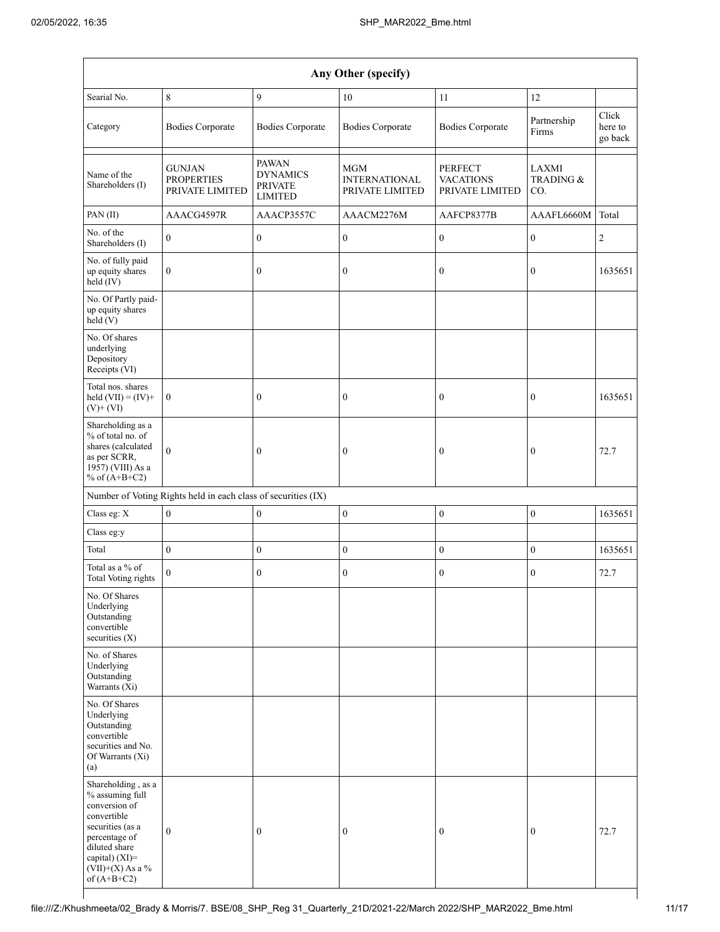|                                                                                                                                                                                      |                                                               |                                                                     | Any Other (specify)                                   |                                                       |                           |                             |
|--------------------------------------------------------------------------------------------------------------------------------------------------------------------------------------|---------------------------------------------------------------|---------------------------------------------------------------------|-------------------------------------------------------|-------------------------------------------------------|---------------------------|-----------------------------|
| Searial No.                                                                                                                                                                          | 8                                                             | 9                                                                   | 10                                                    | 11                                                    | 12                        |                             |
| Category                                                                                                                                                                             | <b>Bodies Corporate</b>                                       | <b>Bodies Corporate</b>                                             | <b>Bodies Corporate</b>                               | <b>Bodies Corporate</b>                               | Partnership<br>Firms      | Click<br>here to<br>go back |
| Name of the<br>Shareholders (I)                                                                                                                                                      | <b>GUNJAN</b><br><b>PROPERTIES</b><br>PRIVATE LIMITED         | <b>PAWAN</b><br><b>DYNAMICS</b><br><b>PRIVATE</b><br><b>LIMITED</b> | <b>MGM</b><br><b>INTERNATIONAL</b><br>PRIVATE LIMITED | <b>PERFECT</b><br><b>VACATIONS</b><br>PRIVATE LIMITED | LAXMI<br>TRADING &<br>CO. |                             |
| PAN(II)                                                                                                                                                                              | AAACG4597R                                                    | AAACP3557C                                                          | AAACM2276M                                            | AAFCP8377B                                            | AAAFL6660M                | Total                       |
| No. of the<br>Shareholders (I)                                                                                                                                                       | $\mathbf{0}$                                                  | $\boldsymbol{0}$                                                    | $\boldsymbol{0}$                                      | $\boldsymbol{0}$                                      | $\boldsymbol{0}$          | $\sqrt{2}$                  |
| No. of fully paid<br>up equity shares<br>held (IV)                                                                                                                                   | $\boldsymbol{0}$                                              | $\boldsymbol{0}$                                                    | $\boldsymbol{0}$                                      | $\boldsymbol{0}$                                      | $\mathbf{0}$              | 1635651                     |
| No. Of Partly paid-<br>up equity shares<br>held(V)                                                                                                                                   |                                                               |                                                                     |                                                       |                                                       |                           |                             |
| No. Of shares<br>underlying<br>Depository<br>Receipts (VI)                                                                                                                           |                                                               |                                                                     |                                                       |                                                       |                           |                             |
| Total nos. shares<br>held $(VII) = (IV) +$<br>$(V)$ + $(VI)$                                                                                                                         | $\boldsymbol{0}$                                              | $\boldsymbol{0}$                                                    | $\boldsymbol{0}$                                      | $\boldsymbol{0}$                                      | $\boldsymbol{0}$          | 1635651                     |
| Shareholding as a<br>% of total no. of<br>shares (calculated<br>as per SCRR,<br>1957) (VIII) As a<br>% of $(A+B+C2)$                                                                 | $\mathbf{0}$                                                  | $\bf{0}$                                                            | $\boldsymbol{0}$                                      | $\boldsymbol{0}$                                      | $\boldsymbol{0}$          | 72.7                        |
|                                                                                                                                                                                      | Number of Voting Rights held in each class of securities (IX) |                                                                     |                                                       |                                                       |                           |                             |
| Class eg: X                                                                                                                                                                          | $\mathbf{0}$                                                  | $\boldsymbol{0}$                                                    | $\boldsymbol{0}$                                      | $\boldsymbol{0}$                                      | $\boldsymbol{0}$          | 1635651                     |
| Class eg:y                                                                                                                                                                           |                                                               |                                                                     |                                                       |                                                       |                           |                             |
| Total                                                                                                                                                                                | $\boldsymbol{0}$                                              | $\boldsymbol{0}$                                                    | $\boldsymbol{0}$                                      | $\boldsymbol{0}$                                      | $\boldsymbol{0}$          | 1635651                     |
| Total as a % of<br>Total Voting rights                                                                                                                                               | $\overline{0}$                                                | $\boldsymbol{0}$                                                    | $\boldsymbol{0}$                                      | $\boldsymbol{0}$                                      | $\boldsymbol{0}$          | 72.7                        |
| No. Of Shares<br>Underlying<br>Outstanding<br>convertible<br>securities $(X)$                                                                                                        |                                                               |                                                                     |                                                       |                                                       |                           |                             |
| No. of Shares<br>Underlying<br>Outstanding<br>Warrants $(X_i)$                                                                                                                       |                                                               |                                                                     |                                                       |                                                       |                           |                             |
| No. Of Shares<br>Underlying<br>Outstanding<br>convertible<br>securities and No.<br>Of Warrants (Xi)<br>(a)                                                                           |                                                               |                                                                     |                                                       |                                                       |                           |                             |
| Shareholding, as a<br>% assuming full<br>conversion of<br>convertible<br>securities (as a<br>percentage of<br>diluted share<br>capital) (XI)=<br>$(VII)+(X)$ As a %<br>of $(A+B+C2)$ | $\boldsymbol{0}$                                              | $\bf{0}$                                                            | $\boldsymbol{0}$                                      | $\boldsymbol{0}$                                      | $\boldsymbol{0}$          | 72.7                        |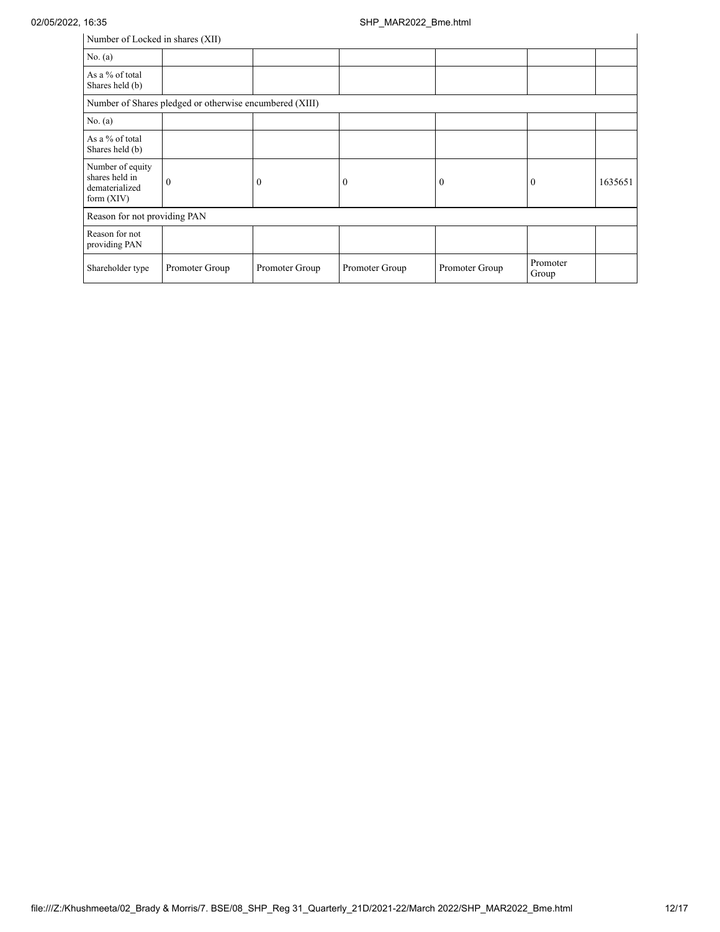| Number of Locked in shares (XII)                                     |                                                         |                  |                |                |                   |         |
|----------------------------------------------------------------------|---------------------------------------------------------|------------------|----------------|----------------|-------------------|---------|
| No. $(a)$                                                            |                                                         |                  |                |                |                   |         |
| As a % of total<br>Shares held (b)                                   |                                                         |                  |                |                |                   |         |
|                                                                      | Number of Shares pledged or otherwise encumbered (XIII) |                  |                |                |                   |         |
| No. $(a)$                                                            |                                                         |                  |                |                |                   |         |
| As a % of total<br>Shares held (b)                                   |                                                         |                  |                |                |                   |         |
| Number of equity<br>shares held in<br>dematerialized<br>form $(XIV)$ | $\theta$                                                | $\boldsymbol{0}$ | $\theta$       | $\mathbf{0}$   | $\theta$          | 1635651 |
| Reason for not providing PAN                                         |                                                         |                  |                |                |                   |         |
| Reason for not<br>providing PAN                                      |                                                         |                  |                |                |                   |         |
| Shareholder type                                                     | Promoter Group                                          | Promoter Group   | Promoter Group | Promoter Group | Promoter<br>Group |         |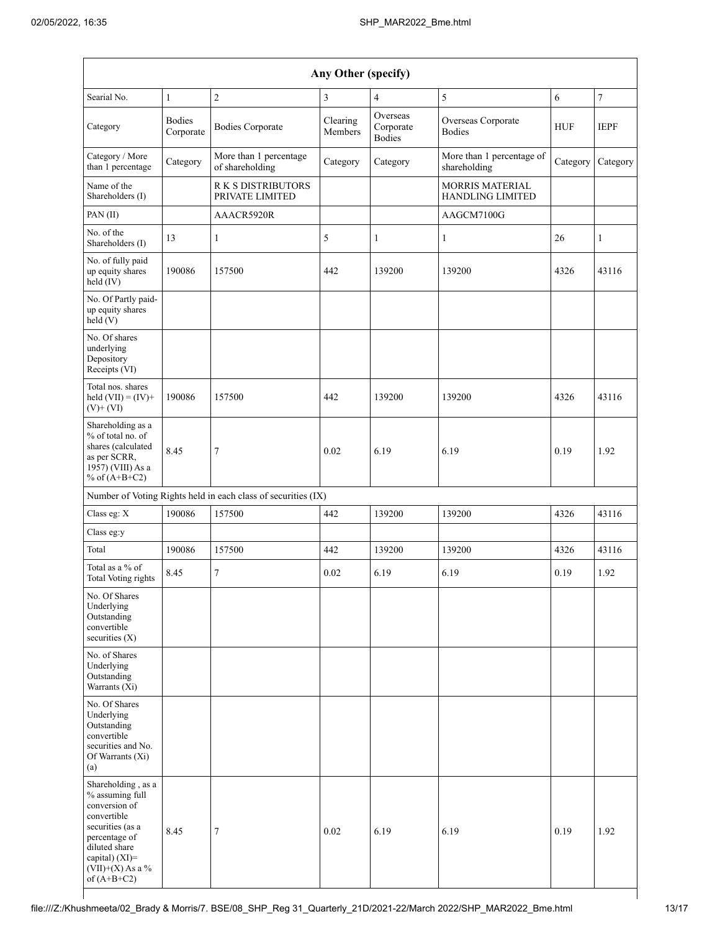| Any Other (specify)                                                                                                                                                                  |                            |                                                               |                     |                                        |                                            |            |                  |
|--------------------------------------------------------------------------------------------------------------------------------------------------------------------------------------|----------------------------|---------------------------------------------------------------|---------------------|----------------------------------------|--------------------------------------------|------------|------------------|
| Searial No.                                                                                                                                                                          | 1                          | $\overline{c}$                                                | 3                   | $\overline{4}$                         | 5                                          | 6          | $\boldsymbol{7}$ |
| Category                                                                                                                                                                             | <b>Bodies</b><br>Corporate | <b>Bodies Corporate</b>                                       | Clearing<br>Members | Overseas<br>Corporate<br><b>Bodies</b> | Overseas Corporate<br><b>Bodies</b>        | <b>HUF</b> | <b>IEPF</b>      |
| Category / More<br>than 1 percentage                                                                                                                                                 | Category                   | More than 1 percentage<br>of shareholding                     | Category            | Category                               | More than 1 percentage of<br>shareholding  | Category   | Category         |
| Name of the<br>Shareholders (I)                                                                                                                                                      |                            | <b>RK S DISTRIBUTORS</b><br>PRIVATE LIMITED                   |                     |                                        | <b>MORRIS MATERIAL</b><br>HANDLING LIMITED |            |                  |
| PAN (II)                                                                                                                                                                             |                            | AAACR5920R                                                    |                     |                                        | AAGCM7100G                                 |            |                  |
| No. of the<br>Shareholders (I)                                                                                                                                                       | 13                         | $\mathbf{1}$                                                  | 5                   | $\mathbf{1}$                           | 1                                          | 26         | $\mathbf{1}$     |
| No. of fully paid<br>up equity shares<br>held (IV)                                                                                                                                   | 190086                     | 157500                                                        | 442                 | 139200                                 | 139200                                     | 4326       | 43116            |
| No. Of Partly paid-<br>up equity shares<br>held(V)                                                                                                                                   |                            |                                                               |                     |                                        |                                            |            |                  |
| No. Of shares<br>underlying<br>Depository<br>Receipts (VI)                                                                                                                           |                            |                                                               |                     |                                        |                                            |            |                  |
| Total nos. shares<br>held $(VII) = (IV) +$<br>$(V)$ + $(VI)$                                                                                                                         | 190086                     | 157500                                                        | 442                 | 139200                                 | 139200                                     | 4326       | 43116            |
| Shareholding as a<br>% of total no. of<br>shares (calculated<br>as per SCRR,<br>1957) (VIII) As a<br>% of $(A+B+C2)$                                                                 | 8.45                       | 7                                                             | 0.02                | 6.19                                   | 6.19                                       | 0.19       | 1.92             |
|                                                                                                                                                                                      |                            | Number of Voting Rights held in each class of securities (IX) |                     |                                        |                                            |            |                  |
| Class eg: X                                                                                                                                                                          | 190086                     | 157500                                                        | 442                 | 139200                                 | 139200                                     | 4326       | 43116            |
| Class eg:y                                                                                                                                                                           |                            |                                                               |                     |                                        |                                            |            |                  |
| Total                                                                                                                                                                                | 190086                     | 157500                                                        | 442                 | 139200                                 | 139200                                     | 4326       | 43116            |
| Total as a % of<br>Total Voting rights                                                                                                                                               | 8.45                       | 7                                                             | 0.02                | 6.19                                   | 6.19                                       | 0.19       | 1.92             |
| No. Of Shares<br>Underlying<br>Outstanding<br>convertible<br>securities $(X)$                                                                                                        |                            |                                                               |                     |                                        |                                            |            |                  |
| No. of Shares<br>Underlying<br>Outstanding<br>Warrants (Xi)                                                                                                                          |                            |                                                               |                     |                                        |                                            |            |                  |
| No. Of Shares<br>Underlying<br>Outstanding<br>convertible<br>securities and No.<br>Of Warrants (Xi)<br>(a)                                                                           |                            |                                                               |                     |                                        |                                            |            |                  |
| Shareholding, as a<br>% assuming full<br>conversion of<br>convertible<br>securities (as a<br>percentage of<br>diluted share<br>capital) (XI)=<br>$(VII)+(X)$ As a %<br>of $(A+B+C2)$ | 8.45                       | 7                                                             | 0.02                | 6.19                                   | 6.19                                       | 0.19       | 1.92             |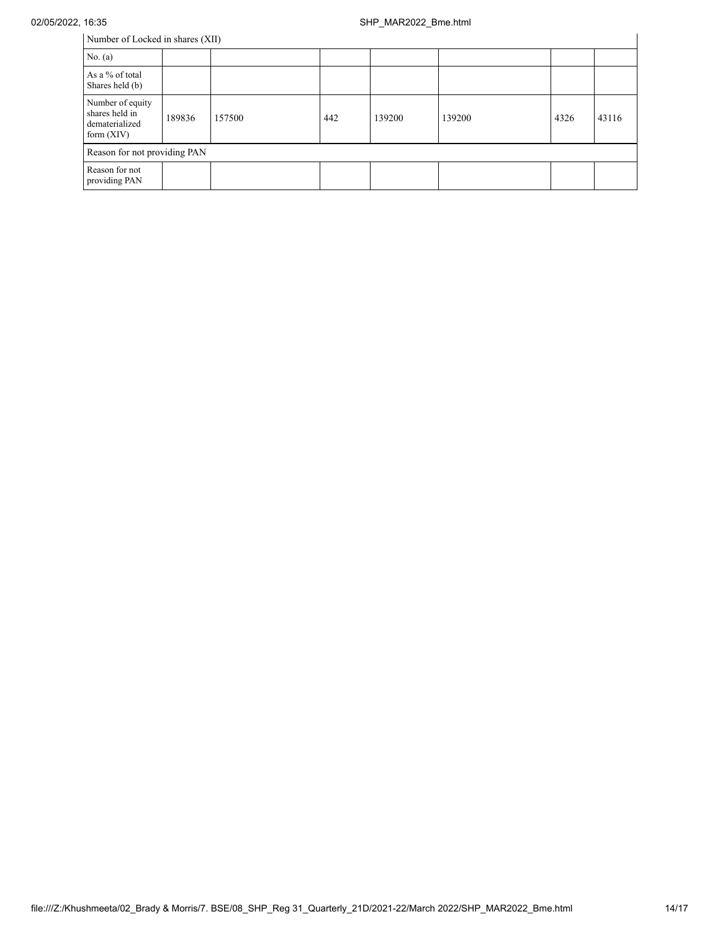| Number of Locked in shares (XII)                                     |        |        |     |        |        |      |       |
|----------------------------------------------------------------------|--------|--------|-----|--------|--------|------|-------|
| No. $(a)$                                                            |        |        |     |        |        |      |       |
| As a % of total<br>Shares held (b)                                   |        |        |     |        |        |      |       |
| Number of equity<br>shares held in<br>dematerialized<br>form $(XIV)$ | 189836 | 157500 | 442 | 139200 | 139200 | 4326 | 43116 |
| Reason for not providing PAN                                         |        |        |     |        |        |      |       |
| Reason for not<br>providing PAN                                      |        |        |     |        |        |      |       |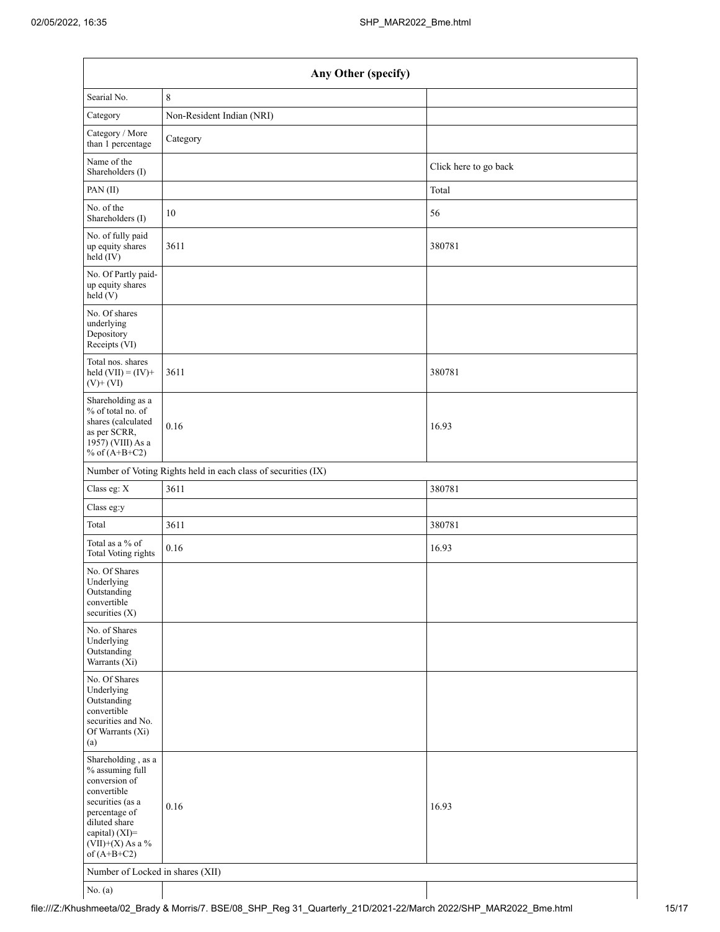| Any Other (specify)                                                                                                                                                                  |                                                               |                       |  |  |
|--------------------------------------------------------------------------------------------------------------------------------------------------------------------------------------|---------------------------------------------------------------|-----------------------|--|--|
| Searial No.                                                                                                                                                                          | $\,$ 8 $\,$                                                   |                       |  |  |
| Category                                                                                                                                                                             | Non-Resident Indian (NRI)                                     |                       |  |  |
| Category / More<br>than 1 percentage                                                                                                                                                 | Category                                                      |                       |  |  |
| Name of the<br>Shareholders (I)                                                                                                                                                      |                                                               | Click here to go back |  |  |
| PAN(II)                                                                                                                                                                              |                                                               | Total                 |  |  |
| No. of the<br>Shareholders (I)                                                                                                                                                       | 10                                                            | 56                    |  |  |
| No. of fully paid<br>up equity shares<br>held (IV)                                                                                                                                   | 3611                                                          | 380781                |  |  |
| No. Of Partly paid-<br>up equity shares<br>held(V)                                                                                                                                   |                                                               |                       |  |  |
| No. Of shares<br>underlying<br>Depository<br>Receipts (VI)                                                                                                                           |                                                               |                       |  |  |
| Total nos. shares<br>held $(VII) = (IV) +$<br>$(V)$ + $(VI)$                                                                                                                         | 3611                                                          | 380781                |  |  |
| Shareholding as a<br>% of total no. of<br>shares (calculated<br>as per SCRR,<br>1957) (VIII) As a<br>% of $(A+B+C2)$                                                                 | 0.16                                                          | 16.93                 |  |  |
|                                                                                                                                                                                      | Number of Voting Rights held in each class of securities (IX) |                       |  |  |
| Class eg: X                                                                                                                                                                          | 3611                                                          | 380781                |  |  |
| Class eg:y                                                                                                                                                                           |                                                               |                       |  |  |
| Total                                                                                                                                                                                | 3611                                                          | 380781                |  |  |
| Total as a % of<br>Total Voting rights                                                                                                                                               | 0.16                                                          | 16.93                 |  |  |
| No. Of Shares<br>Underlying<br>Outstanding<br>convertible<br>securities $(X)$                                                                                                        |                                                               |                       |  |  |
| No. of Shares<br>Underlying<br>Outstanding<br>Warrants (Xi)                                                                                                                          |                                                               |                       |  |  |
| No. Of Shares<br>Underlying<br>Outstanding<br>convertible<br>securities and No.<br>Of Warrants (Xi)<br>(a)                                                                           |                                                               |                       |  |  |
| Shareholding, as a<br>% assuming full<br>conversion of<br>convertible<br>securities (as a<br>percentage of<br>diluted share<br>capital) (XI)=<br>$(VII)+(X)$ As a %<br>of $(A+B+C2)$ | 0.16                                                          | 16.93                 |  |  |
| Number of Locked in shares (XII)                                                                                                                                                     |                                                               |                       |  |  |
| No. (a)                                                                                                                                                                              |                                                               |                       |  |  |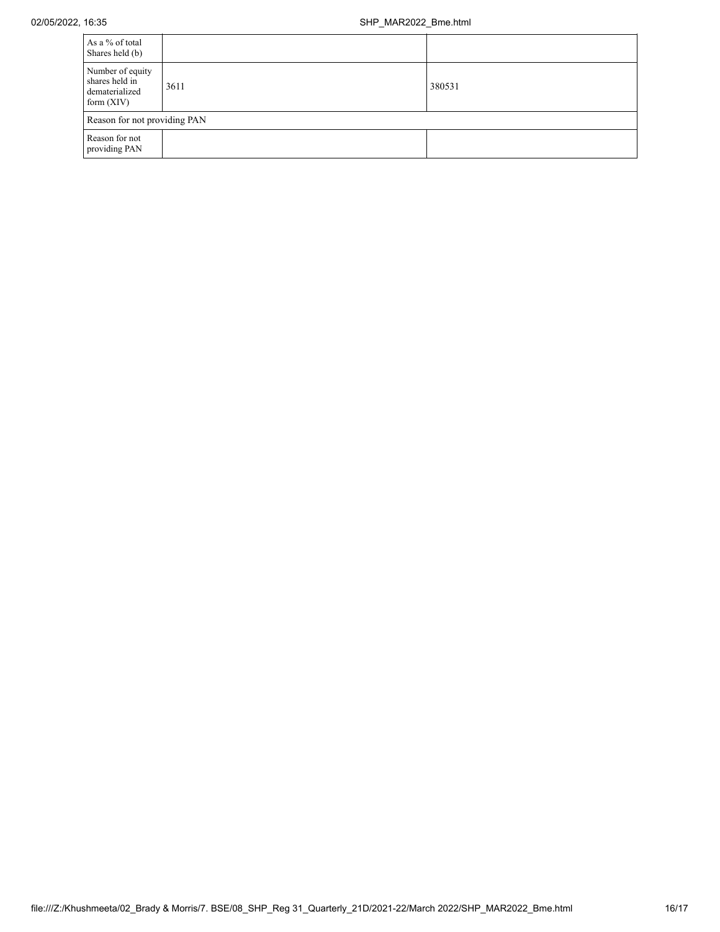| As a % of total<br>Shares held (b)                                   |      |        |  |  |
|----------------------------------------------------------------------|------|--------|--|--|
| Number of equity<br>shares held in<br>dematerialized<br>form $(XIV)$ | 3611 | 380531 |  |  |
| Reason for not providing PAN                                         |      |        |  |  |
| Reason for not<br>providing PAN                                      |      |        |  |  |